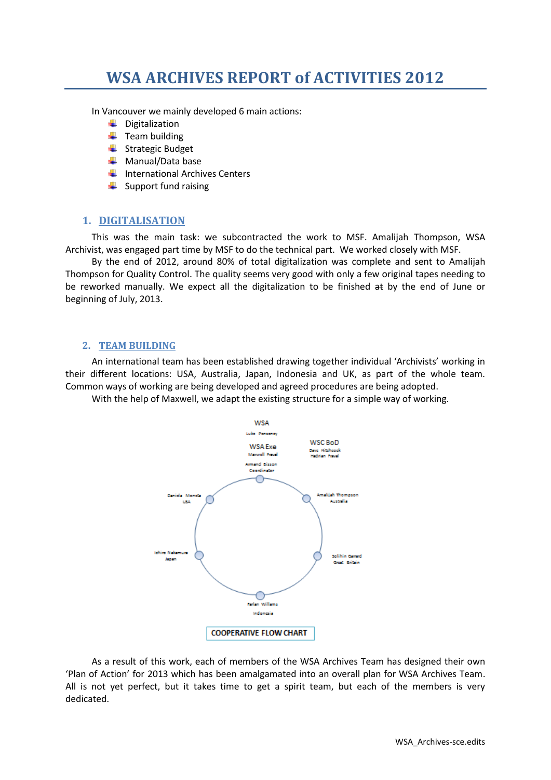# **WSA ARCHIVES REPORT of ACTIVITIES 2012**

In Vancouver we mainly developed 6 main actions:

- **↓** Digitalization
- $\ddot{\phantom{1}}$  Team building
- $\frac{1}{2}$  Strategic Budget
- $\frac{1}{\sqrt{2}}$  Manual/Data base
- $\big\downarrow$  International Archives Centers
- $\frac{1}{\sqrt{2}}$  Support fund raising

### **1. DIGITALISATION**

This was the main task: we subcontracted the work to MSF. Amalijah Thompson, WSA Archivist, was engaged part time by MSF to do the technical part. We worked closely with MSF.

By the end of 2012, around 80% of total digitalization was complete and sent to Amalijah Thompson for Quality Control. The quality seems very good with only a few original tapes needing to be reworked manually. We expect all the digitalization to be finished at by the end of June or beginning of July, 2013.

#### **2. TEAM BUILDING**

An international team has been established drawing together individual 'Archivists' working in their different locations: USA, Australia, Japan, Indonesia and UK, as part of the whole team. Common ways of working are being developed and agreed procedures are being adopted.

With the help of Maxwell, we adapt the existing structure for a simple way of working.



As a result of this work, each of members of the WSA Archives Team has designed their own 'Plan of Action' for 2013 which has been amalgamated into an overall plan for WSA Archives Team. All is not yet perfect, but it takes time to get a spirit team, but each of the members is very dedicated.